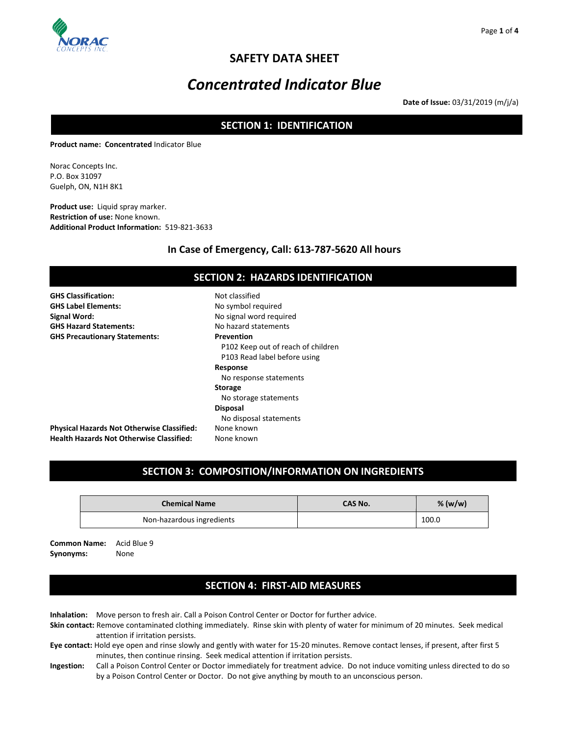

# **SAFETY DATA SHEET**

# *Concentrated Indicator Blue*

**Date of Issue:** 03/31/2019 (m/j/a)

# **SECTION 1: IDENTIFICATION**

**Product name: Concentrated** Indicator Blue

Norac Concepts Inc. P.O. Box 31097 Guelph, ON, N1H 8K1

**Product use:** Liquid spray marker. **Restriction of use:** None known. **Additional Product Information:** 519-821-3633

### **In Case of Emergency, Call: 613-787-5620 All hours**

| <b>SECTION 2: HAZARDS IDENTIFICATION</b>                                                             |                                                                    |  |  |
|------------------------------------------------------------------------------------------------------|--------------------------------------------------------------------|--|--|
| <b>GHS Classification:</b><br><b>GHS Label Elements:</b>                                             | Not classified<br>No symbol required                               |  |  |
| Signal Word:                                                                                         | No signal word required                                            |  |  |
| <b>GHS Hazard Statements:</b><br><b>GHS Precautionary Statements:</b>                                | No hazard statements<br><b>Prevention</b>                          |  |  |
|                                                                                                      | P102 Keep out of reach of children<br>P103 Read label before using |  |  |
|                                                                                                      | Response<br>No response statements                                 |  |  |
|                                                                                                      | <b>Storage</b><br>No storage statements                            |  |  |
|                                                                                                      | <b>Disposal</b><br>No disposal statements                          |  |  |
| <b>Physical Hazards Not Otherwise Classified:</b><br><b>Health Hazards Not Otherwise Classified:</b> | None known<br>None known                                           |  |  |

# **SECTION 3: COMPOSITION/INFORMATION ON INGREDIENTS**

| <b>Chemical Name</b>      | CAS No. | % $(w/w)$ |
|---------------------------|---------|-----------|
| Non-hazardous ingredients |         | 100.0     |

**Common Name:** Acid Blue 9 **Synonyms:** None

# **SECTION 4: FIRST-AID MEASURES**

**Inhalation:** Move person to fresh air. Call a Poison Control Center or Doctor for further advice.

- **Skin contact:** Remove contaminated clothing immediately. Rinse skin with plenty of water for minimum of 20 minutes. Seek medical attention if irritation persists.
- **Eye contact:** Hold eye open and rinse slowly and gently with water for 15-20 minutes. Remove contact lenses, if present, after first 5 minutes, then continue rinsing. Seek medical attention if irritation persists.
- **Ingestion:** Call a Poison Control Center or Doctor immediately for treatment advice. Do not induce vomiting unless directed to do so by a Poison Control Center or Doctor. Do not give anything by mouth to an unconscious person.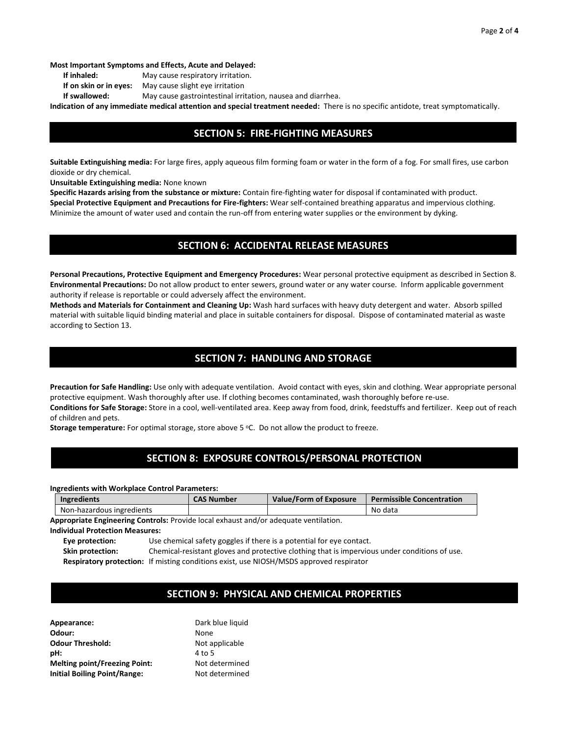**Most Important Symptoms and Effects, Acute and Delayed:** 

- **If inhaled:** May cause respiratory irritation.
- **If on skin or in eyes:** May cause slight eye irritation
- **If swallowed:** May cause gastrointestinal irritation, nausea and diarrhea.

**Indication of any immediate medical attention and special treatment needed:** There is no specific antidote, treat symptomatically.

### **SECTION 5: FIRE-FIGHTING MEASURES**

**Suitable Extinguishing media:** For large fires, apply aqueous film forming foam or water in the form of a fog. For small fires, use carbon dioxide or dry chemical.

**Unsuitable Extinguishing media:** None known

**Specific Hazards arising from the substance or mixture:** Contain fire-fighting water for disposal if contaminated with product. **Special Protective Equipment and Precautions for Fire-fighters:** Wear self-contained breathing apparatus and impervious clothing. Minimize the amount of water used and contain the run-off from entering water supplies or the environment by dyking.

### **SECTION 6: ACCIDENTAL RELEASE MEASURES**

**Personal Precautions, Protective Equipment and Emergency Procedures:** Wear personal protective equipment as described in Section 8. **Environmental Precautions:** Do not allow product to enter sewers, ground water or any water course. Inform applicable government authority if release is reportable or could adversely affect the environment.

**Methods and Materials for Containment and Cleaning Up:** Wash hard surfaces with heavy duty detergent and water. Absorb spilled material with suitable liquid binding material and place in suitable containers for disposal. Dispose of contaminated material as waste according to Section 13.

### **SECTION 7: HANDLING AND STORAGE**

**Precaution for Safe Handling:** Use only with adequate ventilation. Avoid contact with eyes, skin and clothing. Wear appropriate personal protective equipment. Wash thoroughly after use. If clothing becomes contaminated, wash thoroughly before re-use. **Conditions for Safe Storage:** Store in a cool, well-ventilated area. Keep away from food, drink, feedstuffs and fertilizer. Keep out of reach of children and pets.

**Storage temperature:** For optimal storage, store above 5 °C. Do not allow the product to freeze.

# **SECTION 8: EXPOSURE CONTROLS/PERSONAL PROTECTION**

**Ingredients with Workplace Control Parameters:**

| <b>Ingredients</b>        | <b>CAS Number</b> | Value/Form of Exposure | <b>Permissible Concentration</b> |
|---------------------------|-------------------|------------------------|----------------------------------|
| Non-hazardous ingredients |                   |                        | No data                          |

**Appropriate Engineering Controls:** Provide local exhaust and/or adequate ventilation.

#### **Individual Protection Measures:**

**Eye protection:** Use chemical safety goggles if there is a potential for eye contact.

**Skin protection:** Chemical-resistant gloves and protective clothing that is impervious under conditions of use. **Respiratory protection:** If misting conditions exist, use NIOSH/MSDS approved respirator

# **SECTION 9: PHYSICAL AND CHEMICAL PROPERTIES**

| Dark blue liquid |
|------------------|
| None             |
| Not applicable   |
| 4 to 5           |
| Not determined   |
| Not determined   |
|                  |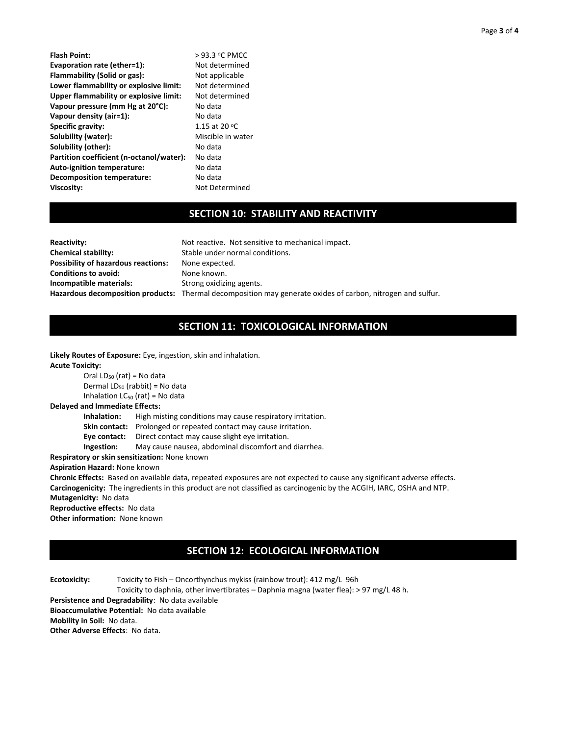| Flash Point:                             | >93.3 °C PMCC     |
|------------------------------------------|-------------------|
| Evaporation rate (ether=1):              | Not determined    |
| Flammability (Solid or gas):             | Not applicable    |
| Lower flammability or explosive limit:   | Not determined    |
| Upper flammability or explosive limit:   | Not determined    |
| Vapour pressure (mm Hg at 20°C):         | No data           |
| Vapour density (air=1):                  | No data           |
| Specific gravity:                        | 1.15 at 20 °C     |
| Solubility (water):                      | Miscible in water |
| Solubility (other):                      | No data           |
| Partition coefficient (n-octanol/water): | No data           |
| <b>Auto-ignition temperature:</b>        | No data           |
| <b>Decomposition temperature:</b>        | No data           |
| Viscosity:                               | Not Determined    |
|                                          |                   |

### **SECTION 10: STABILITY AND REACTIVITY**

| <b>Reactivity:</b>                  | Not reactive. Not sensitive to mechanical impact.                                                           |
|-------------------------------------|-------------------------------------------------------------------------------------------------------------|
| <b>Chemical stability:</b>          | Stable under normal conditions.                                                                             |
| Possibility of hazardous reactions: | None expected.                                                                                              |
| <b>Conditions to avoid:</b>         | None known.                                                                                                 |
| Incompatible materials:             | Strong oxidizing agents.                                                                                    |
|                                     | Hazardous decomposition products: Thermal decomposition may generate oxides of carbon, nitrogen and sulfur. |
|                                     |                                                                                                             |

# **SECTION 11: TOXICOLOGICAL INFORMATION**

**Likely Routes of Exposure:** Eye, ingestion, skin and inhalation. **Acute Toxicity:** Oral  $LD_{50}$  (rat) = No data Dermal LD<sub>50</sub> (rabbit) = No data Inhalation  $LC_{50}$  (rat) = No data **Delayed and Immediate Effects: Inhalation:** High misting conditions may cause respiratory irritation.

**Skin contact:** Prolonged or repeated contact may cause irritation.

**Eye contact:** Direct contact may cause slight eye irritation.

**Ingestion:** May cause nausea, abdominal discomfort and diarrhea.

**Respiratory or skin sensitization:** None known

#### **Aspiration Hazard:** None known

**Chronic Effects:** Based on available data, repeated exposures are not expected to cause any significant adverse effects. **Carcinogenicity:** The ingredients in this product are not classified as carcinogenic by the ACGIH, IARC, OSHA and NTP. **Mutagenicity:** No data

**Reproductive effects:** No data

**Other information:** None known

# **SECTION 12: ECOLOGICAL INFORMATION**

**Ecotoxicity:** Toxicity to Fish – Oncorthynchus mykiss (rainbow trout): 412 mg/L 96h Toxicity to daphnia, other invertibrates – Daphnia magna (water flea): > 97 mg/L 48 h. **Persistence and Degradability**: No data available **Bioaccumulative Potential:** No data available **Mobility in Soil:** No data. **Other Adverse Effects**: No data.